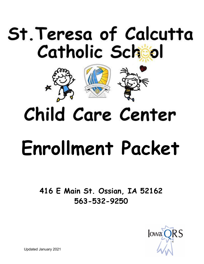## St. Teresa of Calcutta Catholic School



## Child Care Center

# **Enrollment Packet**

**416 E Main St. Ossian, IA 52162 563-532-9250**



Updated January 2021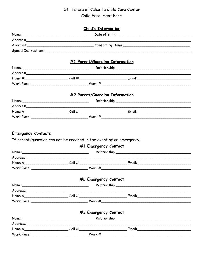### St. Teresa of Calcutta Child Care Center

Child Enrollment Form

| <b>Child's Information</b>                                                                                                                                                                                                    |                                                                                                                  |                                |                                                                                                                                                                                                                                |  |  |  |
|-------------------------------------------------------------------------------------------------------------------------------------------------------------------------------------------------------------------------------|------------------------------------------------------------------------------------------------------------------|--------------------------------|--------------------------------------------------------------------------------------------------------------------------------------------------------------------------------------------------------------------------------|--|--|--|
|                                                                                                                                                                                                                               |                                                                                                                  |                                |                                                                                                                                                                                                                                |  |  |  |
|                                                                                                                                                                                                                               |                                                                                                                  |                                |                                                                                                                                                                                                                                |  |  |  |
|                                                                                                                                                                                                                               |                                                                                                                  |                                |                                                                                                                                                                                                                                |  |  |  |
|                                                                                                                                                                                                                               |                                                                                                                  |                                |                                                                                                                                                                                                                                |  |  |  |
|                                                                                                                                                                                                                               |                                                                                                                  | #1 Parent/Guardian Information |                                                                                                                                                                                                                                |  |  |  |
|                                                                                                                                                                                                                               |                                                                                                                  |                                |                                                                                                                                                                                                                                |  |  |  |
|                                                                                                                                                                                                                               |                                                                                                                  |                                |                                                                                                                                                                                                                                |  |  |  |
|                                                                                                                                                                                                                               |                                                                                                                  |                                |                                                                                                                                                                                                                                |  |  |  |
|                                                                                                                                                                                                                               |                                                                                                                  |                                |                                                                                                                                                                                                                                |  |  |  |
|                                                                                                                                                                                                                               |                                                                                                                  | #2 Parent/Guardian Information |                                                                                                                                                                                                                                |  |  |  |
|                                                                                                                                                                                                                               |                                                                                                                  |                                |                                                                                                                                                                                                                                |  |  |  |
|                                                                                                                                                                                                                               |                                                                                                                  |                                |                                                                                                                                                                                                                                |  |  |  |
|                                                                                                                                                                                                                               |                                                                                                                  |                                |                                                                                                                                                                                                                                |  |  |  |
|                                                                                                                                                                                                                               |                                                                                                                  |                                |                                                                                                                                                                                                                                |  |  |  |
|                                                                                                                                                                                                                               |                                                                                                                  | #1 Emergency Contact           |                                                                                                                                                                                                                                |  |  |  |
|                                                                                                                                                                                                                               |                                                                                                                  |                                |                                                                                                                                                                                                                                |  |  |  |
|                                                                                                                                                                                                                               |                                                                                                                  |                                | Relationship: New York Change of the Change of the Change of the Change of the Change of the Change of the Change of the Change of the Change of the Change of the Change of the Change of the Change of the Change of the Cha |  |  |  |
|                                                                                                                                                                                                                               | Address: Andreas Address Address Address Andreas Address Address Address Address Andrew Address Address Andrew A |                                |                                                                                                                                                                                                                                |  |  |  |
|                                                                                                                                                                                                                               |                                                                                                                  |                                |                                                                                                                                                                                                                                |  |  |  |
|                                                                                                                                                                                                                               |                                                                                                                  |                                |                                                                                                                                                                                                                                |  |  |  |
|                                                                                                                                                                                                                               |                                                                                                                  | #2 Emergency Contact           |                                                                                                                                                                                                                                |  |  |  |
| Name: Name and the second contract of the second contract of the second contract of the second contract of the second contract of the second contract of the second contract of the second contract of the second contract of |                                                                                                                  |                                |                                                                                                                                                                                                                                |  |  |  |
|                                                                                                                                                                                                                               |                                                                                                                  |                                |                                                                                                                                                                                                                                |  |  |  |
|                                                                                                                                                                                                                               |                                                                                                                  |                                |                                                                                                                                                                                                                                |  |  |  |
|                                                                                                                                                                                                                               |                                                                                                                  |                                |                                                                                                                                                                                                                                |  |  |  |
|                                                                                                                                                                                                                               |                                                                                                                  | #3 Emergency Contact           |                                                                                                                                                                                                                                |  |  |  |
|                                                                                                                                                                                                                               |                                                                                                                  |                                |                                                                                                                                                                                                                                |  |  |  |
|                                                                                                                                                                                                                               |                                                                                                                  |                                |                                                                                                                                                                                                                                |  |  |  |
|                                                                                                                                                                                                                               |                                                                                                                  |                                |                                                                                                                                                                                                                                |  |  |  |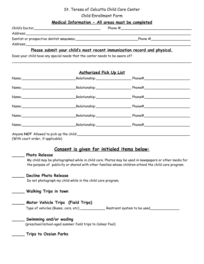#### St. Teresa of Calcutta Child Care Center

#### Child Enrollment Form

#### **Medical Information - All areas must be completed**

| Child's Doctor                             | Phone $#$ |
|--------------------------------------------|-----------|
| Address:                                   |           |
| Dentist or prospective dentist (REQUIRED): | Phone $#$ |
| Address:                                   |           |

#### **Please submit your child's most recent immunization record and physical.**

Does your child have any special needs that the center needs to be aware of?

#### **Authorized Pick Up List**

\_\_\_\_\_\_\_\_\_\_\_\_\_\_\_\_\_\_\_\_\_\_\_\_\_\_\_\_\_\_\_\_\_\_\_\_\_\_\_\_\_\_\_\_\_\_\_\_\_\_\_\_\_\_\_\_\_\_\_\_\_\_\_\_\_\_\_\_\_\_\_\_\_\_\_\_\_\_\_\_\_\_\_\_\_\_

|                                          |                                   | Name: Name: Name: Nelationship: Name: Nelationship: Name: Name: Name: Name: Name: Name: Name: Name: Name: Name: Name: Name: Name: Name: Name: Name: Name: Name: Name: Name: Name: Name: Name: Name: Name: Name: Name: Name: Na |  |
|------------------------------------------|-----------------------------------|--------------------------------------------------------------------------------------------------------------------------------------------------------------------------------------------------------------------------------|--|
|                                          |                                   | Name: Name: Name: Name: Name: Name: Name: Name: Name: Name: Name: Name: Name: Name: Name: Name: Name: Name: Name: Name: Name: Name: Name: Name: Name: Name: Name: Name: Name: Name: Name: Name: Name: Name: Name: Name: Name:  |  |
|                                          |                                   | Name: Name: Name: Name: Name: Name: Name: Name: Name: Name: Name: Name: Name: Name: Name: Name: Name: Name: Name: Name: Name: Name: Name: Name: Name: Name: Name: Name: Name: Name: Name: Name: Name: Name: Name: Name: Name:  |  |
|                                          |                                   | Name: Name: Name: Name: Name: Name: Name: Name: Name: Name: Name: Name: Name: Name: Name: Name: Name: Name: Name: Name: Name: Name: Name: Name: Name: Name: Name: Name: Name: Name: Name: Name: Name: Name: Name: Name: Name:  |  |
|                                          | Name: Relationship: Relationship: |                                                                                                                                                                                                                                |  |
|                                          |                                   | Name: Name: Name: Name: Name: Name: Name: Name: Name: Name: Name: Name: Name: Name: Name: Name: Name: Name: Name: Name: Name: Name: Name: Name: Name: Name: Name: Name: Name: Name: Name: Name: Name: Name: Name: Name: Name:  |  |
| Anyone NOT Allowed to pick up the child: |                                   |                                                                                                                                                                                                                                |  |

(With court order, if applicable)

#### **Consent is given for initialed items below:**

#### **\_\_\_\_\_ Photo Release**

My child may be photographed while in child care. Photos may be used in newspapers or other media for the purpose of publicity or shared with other families whose children attend the child care program.

#### **\_\_\_\_\_ Decline Photo Release**

Do not photograph my child while in the child care program.

**\_\_\_\_\_ Walking Trips in town**

#### **\_\_\_\_\_ Motor Vehicle Trips (Field Trips)**

Type of vehicles (Buses, cars, etc) \_\_\_\_\_\_\_\_\_\_\_\_\_\_\_ Restraint system to be used\_

#### **\_\_\_\_\_ Swimming and/or wading**

(preschool/school-aged summer field trips to Calmar Pool)

**\_\_\_\_\_ Trips to Ossian Parks**